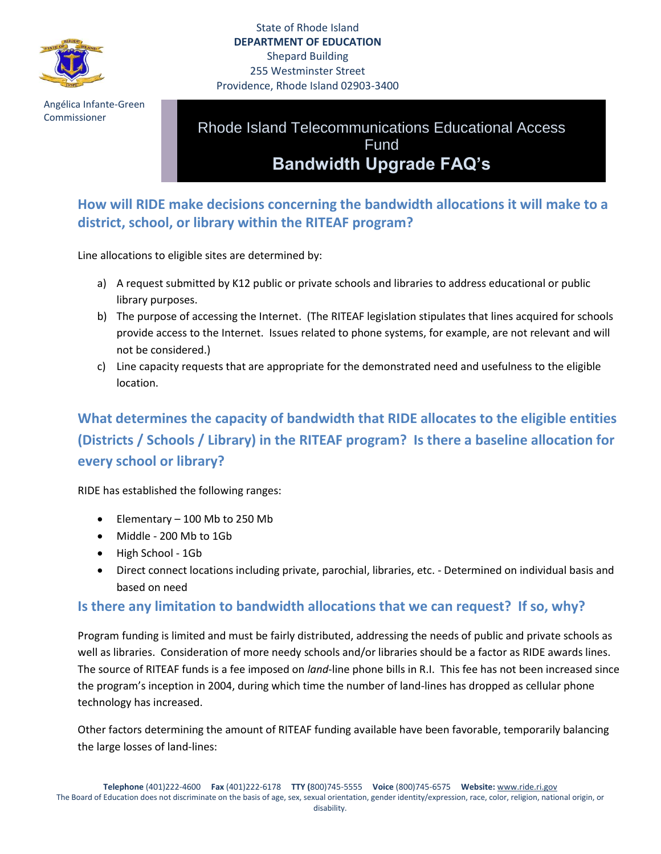

 Angélica Infante-Green Commissioner

## State of Rhode Island **DEPARTMENT OF EDUCATION** Shepard Building 255 Westminster Street Providence, Rhode Island 02903-3400

Rhode Island Telecommunications Educational Access Fund **Bandwidth Upgrade FAQ's**

**How will RIDE make decisions concerning the bandwidth allocations it will make to a district, school, or library within the RITEAF program?**

Line allocations to eligible sites are determined by:

- a) A request submitted by K12 public or private schools and libraries to address educational or public library purposes.
- b) The purpose of accessing the Internet. (The RITEAF legislation stipulates that lines acquired for schools provide access to the Internet. Issues related to phone systems, for example, are not relevant and will not be considered.)
- c) Line capacity requests that are appropriate for the demonstrated need and usefulness to the eligible location.

**What determines the capacity of bandwidth that RIDE allocates to the eligible entities (Districts / Schools / Library) in the RITEAF program? Is there a baseline allocation for every school or library?**

RIDE has established the following ranges:

- $\bullet$  Elementary 100 Mb to 250 Mb
- Middle 200 Mb to 1Gb
- High School 1Gb
- Direct connect locations including private, parochial, libraries, etc. Determined on individual basis and based on need

## **Is there any limitation to bandwidth allocations that we can request? If so, why?**

Program funding is limited and must be fairly distributed, addressing the needs of public and private schools as well as libraries. Consideration of more needy schools and/or libraries should be a factor as RIDE awards lines. The source of RITEAF funds is a fee imposed on *land*-line phone bills in R.I. This fee has not been increased since the program's inception in 2004, during which time the number of land-lines has dropped as cellular phone technology has increased.

Other factors determining the amount of RITEAF funding available have been favorable, temporarily balancing the large losses of land-lines: